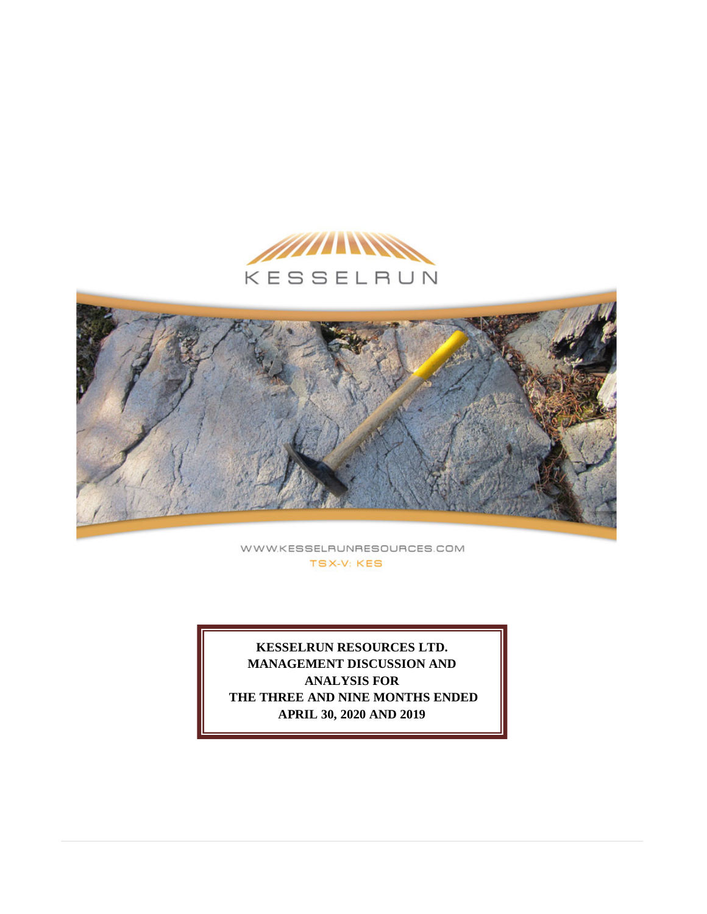



WWW.KESSELRUNRESOURCES.COM **TSX-V: KES** 

**KESSELRUN RESOURCES LTD. MANAGEMENT DISCUSSION AND ANALYSIS FOR THE THREE AND NINE MONTHS ENDED APRIL 30, 2020 AND 2019**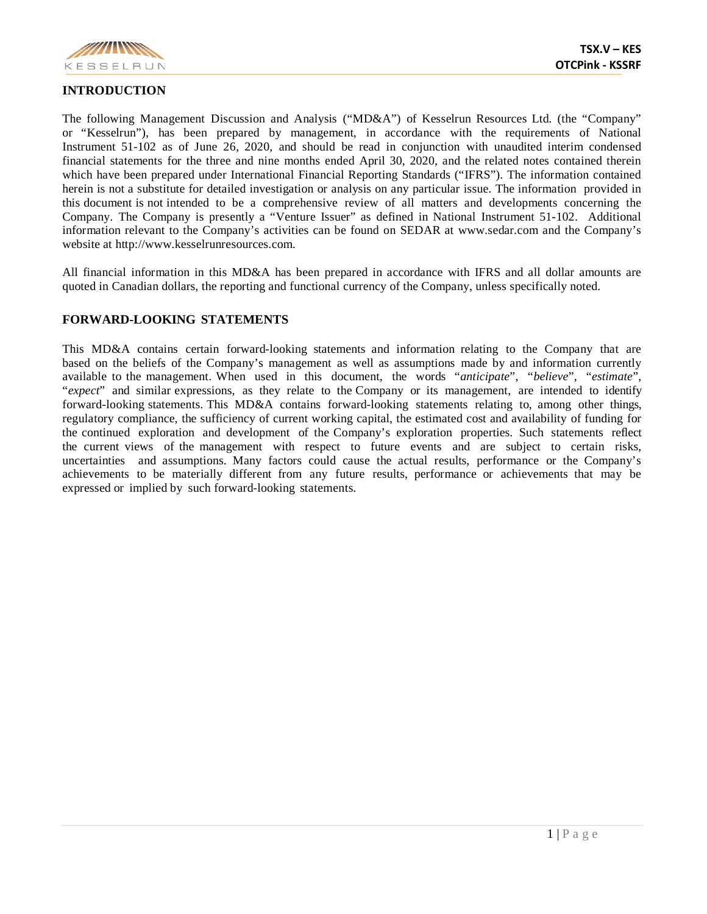

## **INTRODUCTION**

The following Management Discussion and Analysis ("MD&A") of Kesselrun Resources Ltd. (the "Company" or "Kesselrun"), has been prepared by management, in accordance with the requirements of National Instrument 51-102 as of June 26, 2020, and should be read in conjunction with unaudited interim condensed financial statements for the three and nine months ended April 30, 2020, and the related notes contained therein which have been prepared under International Financial Reporting Standards ("IFRS"). The information contained herein is not a substitute for detailed investigation or analysis on any particular issue. The information provided in this document is not intended to be a comprehensive review of all matters and developments concerning the Company. The Company is presently a "Venture Issuer" as defined in National Instrument 51-102. Additional information relevant to the Company's activities can be found on SEDAR at www.sedar.com and the Company's website at http://www.kesselrunresources.com.

All financial information in this MD&A has been prepared in accordance with IFRS and all dollar amounts are quoted in Canadian dollars, the reporting and functional currency of the Company, unless specifically noted.

#### **FORWARD-LOOKING STATEMENTS**

This MD&A contains certain forward-looking statements and information relating to the Company that are based on the beliefs of the Company's management as well as assumptions made by and information currently available to the management. When used in this document, the words "*anticipate*", "*believe*", "*estimate*", "*expect*" and similar expressions, as they relate to the Company or its management, are intended to identify forward-looking statements. This MD&A contains forward-looking statements relating to, among other things, regulatory compliance, the sufficiency of current working capital, the estimated cost and availability of funding for the continued exploration and development of the Company's exploration properties. Such statements reflect the current views of the management with respect to future events and are subject to certain risks, uncertainties and assumptions. Many factors could cause the actual results, performance or the Company's achievements to be materially different from any future results, performance or achievements that may be expressed or implied by such forward-looking statements.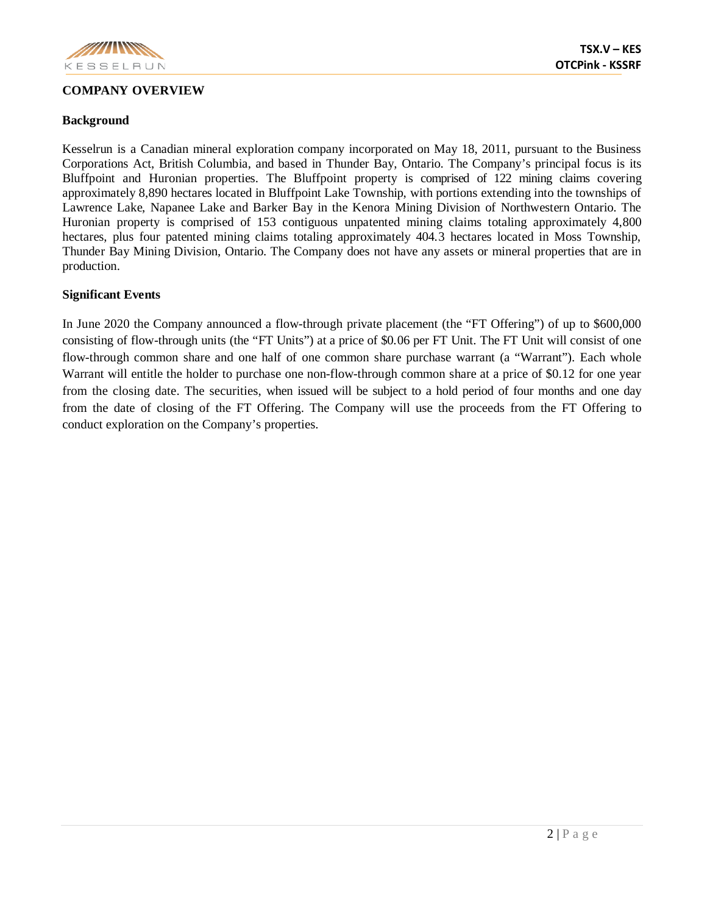

# **COMPANY OVERVIEW**

Kesselrun is a Canadian mineral exploration company incorporated on May 18, 2011, pursuant to the Business Corporations Act, British Columbia, and based in Thunder Bay, Ontario. The Company's principal focus is its Bluffpoint and Huronian properties. The Bluffpoint property is comprised of 122 mining claims covering approximately 8,890 hectares located in Bluffpoint Lake Township, with portions extending into the townships of Lawrence Lake, Napanee Lake and Barker Bay in the Kenora Mining Division of Northwestern Ontario. The Huronian property is comprised of 153 contiguous unpatented mining claims totaling approximately 4,800 hectares, plus four patented mining claims totaling approximately 404.3 hectares located in Moss Township, Thunder Bay Mining Division, Ontario. The Company does not have any assets or mineral properties that are in production.

# **Significant Events**

In June 2020 the Company announced a flow-through private placement (the "FT Offering") of up to \$600,000 consisting of flow-through units (the "FT Units") at a price of \$0.06 per FT Unit. The FT Unit will consist of one flow-through common share and one half of one common share purchase warrant (a "Warrant"). Each whole Warrant will entitle the holder to purchase one non-flow-through common share at a price of \$0.12 for one year from the closing date. The securities, when issued will be subject to a hold period of four months and one day from the date of closing of the FT Offering. The Company will use the proceeds from the FT Offering to conduct exploration on the Company's properties.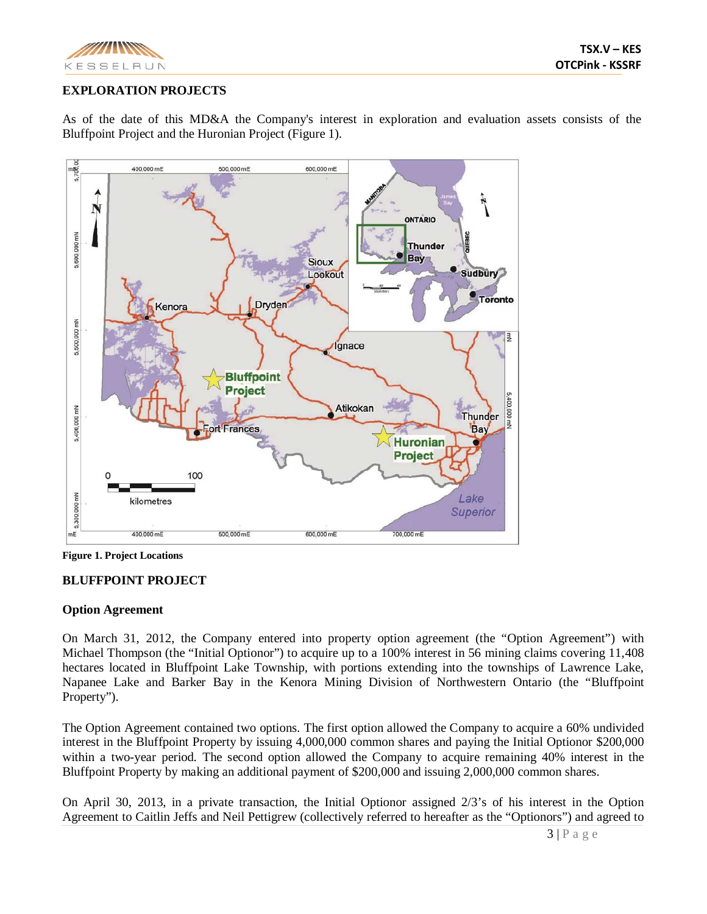

# **EXPLORATION PROJECTS**

As of the date of this MD&A the Company's interest in exploration and evaluation assets consists of the Bluffpoint Project and the Huronian Project (Figure 1).



**Figure 1. Project Locations**

# **BLUFFPOINT PROJECT**

# **Option Agreement**

On March 31, 2012, the Company entered into property option agreement (the "Option Agreement") with Michael Thompson (the "Initial Optionor") to acquire up to a 100% interest in 56 mining claims covering 11,408 hectares located in Bluffpoint Lake Township, with portions extending into the townships of Lawrence Lake, Napanee Lake and Barker Bay in the Kenora Mining Division of Northwestern Ontario (the "Bluffpoint Property").

The Option Agreement contained two options. The first option allowed the Company to acquire a 60% undivided interest in the Bluffpoint Property by issuing 4,000,000 common shares and paying the Initial Optionor \$200,000 within a two-year period. The second option allowed the Company to acquire remaining 40% interest in the Bluffpoint Property by making an additional payment of \$200,000 and issuing 2,000,000 common shares.

On April 30, 2013, in a private transaction, the Initial Optionor assigned 2/3's of his interest in the Option Agreement to Caitlin Jeffs and Neil Pettigrew (collectively referred to hereafter as the "Optionors") and agreed to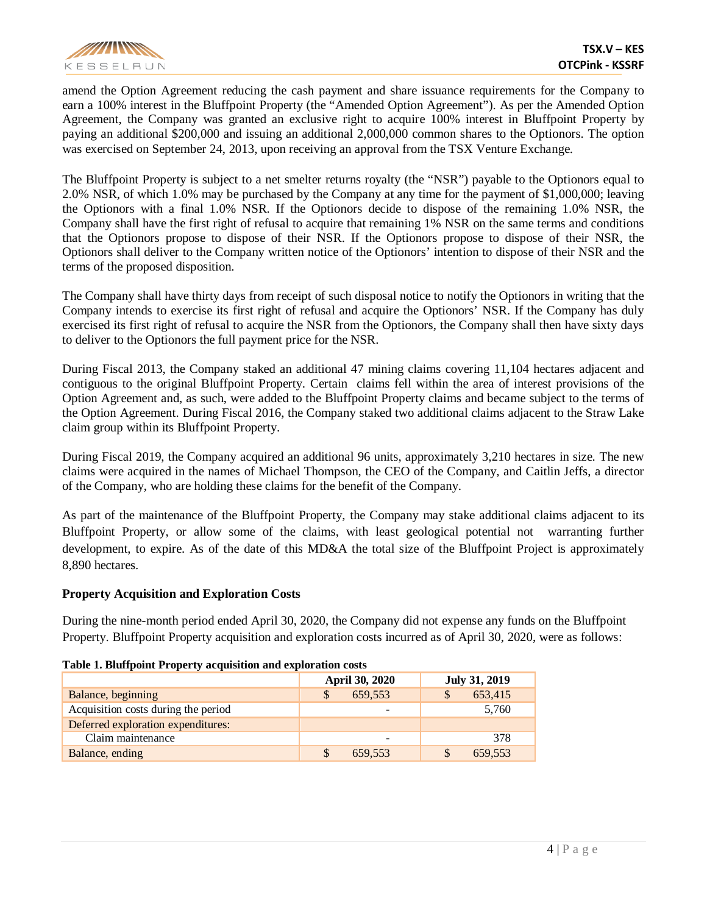

amend the Option Agreement reducing the cash payment and share issuance requirements for the Company to earn a 100% interest in the Bluffpoint Property (the "Amended Option Agreement"). As per the Amended Option Agreement, the Company was granted an exclusive right to acquire 100% interest in Bluffpoint Property by paying an additional \$200,000 and issuing an additional 2,000,000 common shares to the Optionors. The option was exercised on September 24, 2013, upon receiving an approval from the TSX Venture Exchange.

The Bluffpoint Property is subject to a net smelter returns royalty (the "NSR") payable to the Optionors equal to 2.0% NSR, of which 1.0% may be purchased by the Company at any time for the payment of \$1,000,000; leaving the Optionors with a final 1.0% NSR. If the Optionors decide to dispose of the remaining 1.0% NSR, the Company shall have the first right of refusal to acquire that remaining 1% NSR on the same terms and conditions that the Optionors propose to dispose of their NSR. If the Optionors propose to dispose of their NSR, the Optionors shall deliver to the Company written notice of the Optionors' intention to dispose of their NSR and the terms of the proposed disposition.

The Company shall have thirty days from receipt of such disposal notice to notify the Optionors in writing that the Company intends to exercise its first right of refusal and acquire the Optionors' NSR. If the Company has duly exercised its first right of refusal to acquire the NSR from the Optionors, the Company shall then have sixty days to deliver to the Optionors the full payment price for the NSR.

During Fiscal 2013, the Company staked an additional 47 mining claims covering 11,104 hectares adjacent and contiguous to the original Bluffpoint Property. Certain claims fell within the area of interest provisions of the Option Agreement and, as such, were added to the Bluffpoint Property claims and became subject to the terms of the Option Agreement. During Fiscal 2016, the Company staked two additional claims adjacent to the Straw Lake claim group within its Bluffpoint Property.

During Fiscal 2019, the Company acquired an additional 96 units, approximately 3,210 hectares in size. The new claims were acquired in the names of Michael Thompson, the CEO of the Company, and Caitlin Jeffs, a director of the Company, who are holding these claims for the benefit of the Company.

As part of the maintenance of the Bluffpoint Property, the Company may stake additional claims adjacent to its Bluffpoint Property, or allow some of the claims, with least geological potential not warranting further development, to expire. As of the date of this MD&A the total size of the Bluffpoint Project is approximately 8,890 hectares.

# **Property Acquisition and Exploration Costs**

During the nine-month period ended April 30, 2020, the Company did not expense any funds on the Bluffpoint Property. Bluffpoint Property acquisition and exploration costs incurred as of April 30, 2020, were as follows:

| Table 1. Bluffpoint Property acquisition and exploration costs |
|----------------------------------------------------------------|
|----------------------------------------------------------------|

|                                     | <b>April 30, 2020</b> | July 31, 2019 |
|-------------------------------------|-----------------------|---------------|
| Balance, beginning                  | 659.553               | 653,415       |
| Acquisition costs during the period | -                     | 5.760         |
| Deferred exploration expenditures:  |                       |               |
| Claim maintenance                   | -                     | 378           |
| Balance, ending                     | 659.553               | 659,553       |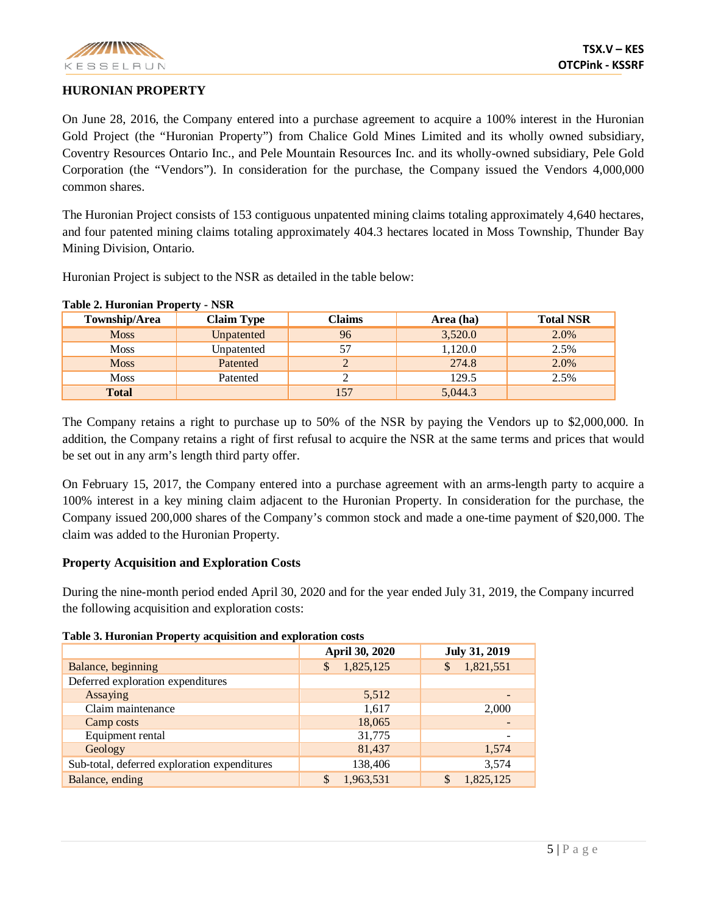

#### **HURONIAN PROPERTY**

On June 28, 2016, the Company entered into a purchase agreement to acquire a 100% interest in the Huronian Gold Project (the "Huronian Property") from Chalice Gold Mines Limited and its wholly owned subsidiary, Coventry Resources Ontario Inc., and Pele Mountain Resources Inc. and its wholly-owned subsidiary, Pele Gold Corporation (the "Vendors"). In consideration for the purchase, the Company issued the Vendors 4,000,000 common shares.

The Huronian Project consists of 153 contiguous unpatented mining claims totaling approximately 4,640 hectares, and four patented mining claims totaling approximately 404.3 hectares located in Moss Township, Thunder Bay Mining Division, Ontario.

Huronian Project is subject to the NSR as detailed in the table below:

| Township/Area | <b>Claim Type</b> | Claims | Area (ha) | <b>Total NSR</b> |
|---------------|-------------------|--------|-----------|------------------|
| <b>Moss</b>   | Unpatented        | 96     | 3,520.0   | 2.0%             |
| <b>Moss</b>   | Unpatented        | 57     | 1,120.0   | 2.5%             |
| <b>Moss</b>   | Patented          |        | 274.8     | 2.0%             |
| <b>Moss</b>   | Patented          |        | 129.5     | 2.5%             |
| <b>Total</b>  |                   | 157    | 5,044.3   |                  |

**Table 2. Huronian Property - NSR**

The Company retains a right to purchase up to 50% of the NSR by paying the Vendors up to \$2,000,000. In addition, the Company retains a right of first refusal to acquire the NSR at the same terms and prices that would be set out in any arm's length third party offer.

On February 15, 2017, the Company entered into a purchase agreement with an arms-length party to acquire a 100% interest in a key mining claim adjacent to the Huronian Property. In consideration for the purchase, the Company issued 200,000 shares of the Company's common stock and made a one-time payment of \$20,000. The claim was added to the Huronian Property.

# **Property Acquisition and Exploration Costs**

During the nine-month period ended April 30, 2020 and for the year ended July 31, 2019, the Company incurred the following acquisition and exploration costs:

|  |  | Table 3. Huronian Property acquisition and exploration costs |  |
|--|--|--------------------------------------------------------------|--|
|  |  |                                                              |  |

| Tubic of true official Troperty aequipment and exproration costs |                           |                      |  |  |
|------------------------------------------------------------------|---------------------------|----------------------|--|--|
|                                                                  | April 30, 2020            | <b>July 31, 2019</b> |  |  |
| Balance, beginning                                               | 1,825,125<br>$\mathbb{S}$ | 1,821,551            |  |  |
| Deferred exploration expenditures                                |                           |                      |  |  |
| Assaying                                                         | 5,512                     |                      |  |  |
| Claim maintenance                                                | 1,617                     | 2,000                |  |  |
| Camp costs                                                       | 18,065                    |                      |  |  |
| Equipment rental                                                 | 31,775                    |                      |  |  |
| Geology                                                          | 81,437                    | 1,574                |  |  |
| Sub-total, deferred exploration expenditures                     | 138,406                   | 3,574                |  |  |
| Balance, ending                                                  | 1,963,531<br>\$           | 1,825,125            |  |  |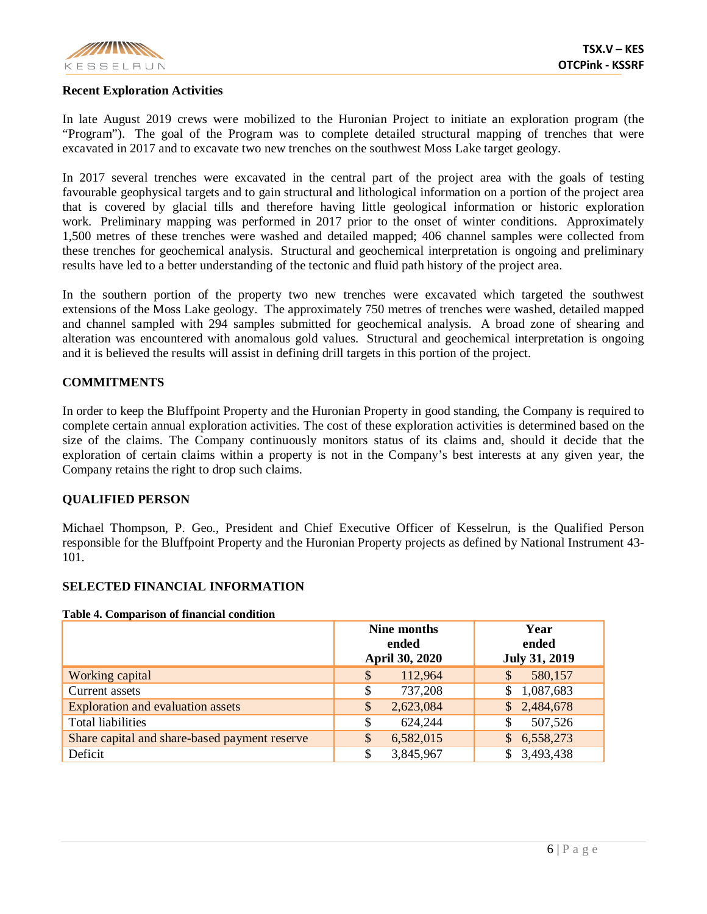

#### **Recent Exploration Activities**

In late August 2019 crews were mobilized to the Huronian Project to initiate an exploration program (the "Program"). The goal of the Program was to complete detailed structural mapping of trenches that were excavated in 2017 and to excavate two new trenches on the southwest Moss Lake target geology.

In 2017 several trenches were excavated in the central part of the project area with the goals of testing favourable geophysical targets and to gain structural and lithological information on a portion of the project area that is covered by glacial tills and therefore having little geological information or historic exploration work. Preliminary mapping was performed in 2017 prior to the onset of winter conditions. Approximately 1,500 metres of these trenches were washed and detailed mapped; 406 channel samples were collected from these trenches for geochemical analysis. Structural and geochemical interpretation is ongoing and preliminary results have led to a better understanding of the tectonic and fluid path history of the project area.

In the southern portion of the property two new trenches were excavated which targeted the southwest extensions of the Moss Lake geology. The approximately 750 metres of trenches were washed, detailed mapped and channel sampled with 294 samples submitted for geochemical analysis. A broad zone of shearing and alteration was encountered with anomalous gold values. Structural and geochemical interpretation is ongoing and it is believed the results will assist in defining drill targets in this portion of the project.

# **COMMITMENTS**

In order to keep the Bluffpoint Property and the Huronian Property in good standing, the Company is required to complete certain annual exploration activities. The cost of these exploration activities is determined based on the size of the claims. The Company continuously monitors status of its claims and, should it decide that the exploration of certain claims within a property is not in the Company's best interests at any given year, the Company retains the right to drop such claims.

#### **QUALIFIED PERSON**

Michael Thompson, P. Geo., President and Chief Executive Officer of Kesselrun, is the Qualified Person responsible for the Bluffpoint Property and the Huronian Property projects as defined by National Instrument 43- 101.

# **SELECTED FINANCIAL INFORMATION**

#### **Table 4. Comparison of financial condition**

|                                               | Nine months<br>ended<br><b>April 30, 2020</b> | Year<br>ended<br><b>July 31, 2019</b> |
|-----------------------------------------------|-----------------------------------------------|---------------------------------------|
| Working capital                               | 112,964<br>\$                                 | 580,157<br>S                          |
| Current assets                                | 737,208<br>\$                                 | 1,087,683                             |
| <b>Exploration and evaluation assets</b>      | 2,623,084<br>$\$\$                            | 2,484,678<br>$\mathbb{S}^-$           |
| <b>Total liabilities</b>                      | 624,244<br>\$                                 | 507,526<br>S                          |
| Share capital and share-based payment reserve | \$<br>6,582,015                               | 6,558,273<br>S                        |
| Deficit                                       | 3,845,967<br>\$                               | 3,493,438                             |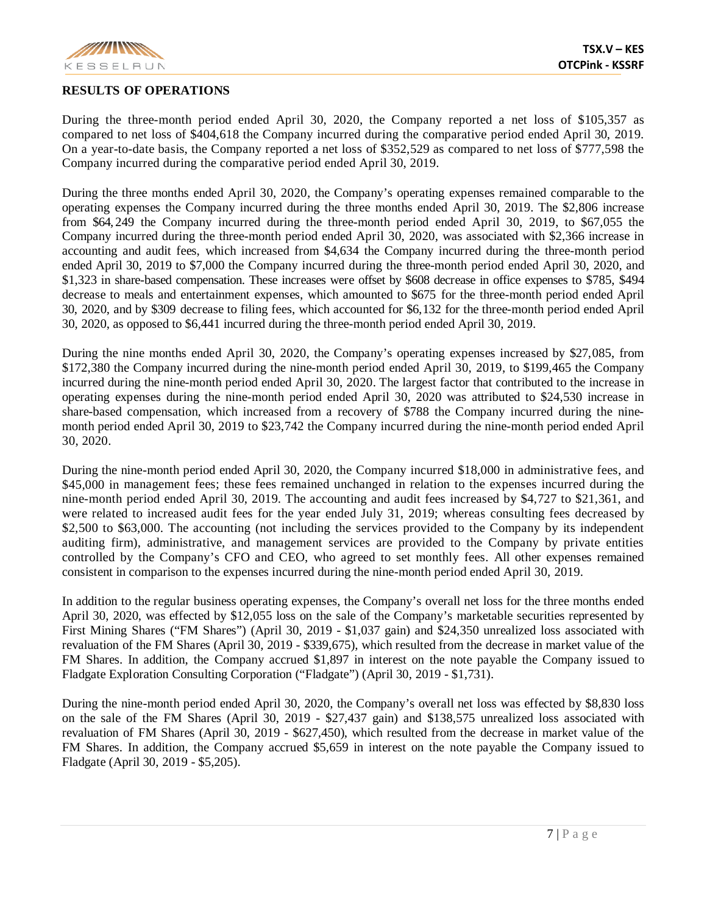

#### **RESULTS OF OPERATIONS**

During the three-month period ended April 30, 2020, the Company reported a net loss of \$105,357 as compared to net loss of \$404,618 the Company incurred during the comparative period ended April 30, 2019. On a year-to-date basis, the Company reported a net loss of \$352,529 as compared to net loss of \$777,598 the Company incurred during the comparative period ended April 30, 2019.

During the three months ended April 30, 2020, the Company's operating expenses remained comparable to the operating expenses the Company incurred during the three months ended April 30, 2019. The \$2,806 increase from \$64, 249 the Company incurred during the three-month period ended April 30, 2019, to \$67,055 the Company incurred during the three-month period ended April 30, 2020, was associated with \$2,366 increase in accounting and audit fees, which increased from \$4,634 the Company incurred during the three-month period ended April 30, 2019 to \$7,000 the Company incurred during the three-month period ended April 30, 2020, and \$1,323 in share-based compensation. These increases were offset by \$608 decrease in office expenses to \$785, \$494 decrease to meals and entertainment expenses, which amounted to \$675 for the three-month period ended April 30, 2020, and by \$309 decrease to filing fees, which accounted for \$6,132 for the three-month period ended April 30, 2020, as opposed to \$6,441 incurred during the three-month period ended April 30, 2019.

During the nine months ended April 30, 2020, the Company's operating expenses increased by \$27,085, from \$172,380 the Company incurred during the nine-month period ended April 30, 2019, to \$199,465 the Company incurred during the nine-month period ended April 30, 2020. The largest factor that contributed to the increase in operating expenses during the nine-month period ended April 30, 2020 was attributed to \$24,530 increase in share-based compensation, which increased from a recovery of \$788 the Company incurred during the ninemonth period ended April 30, 2019 to \$23,742 the Company incurred during the nine-month period ended April 30, 2020.

During the nine-month period ended April 30, 2020, the Company incurred \$18,000 in administrative fees, and \$45,000 in management fees; these fees remained unchanged in relation to the expenses incurred during the nine-month period ended April 30, 2019. The accounting and audit fees increased by \$4,727 to \$21,361, and were related to increased audit fees for the year ended July 31, 2019; whereas consulting fees decreased by \$2,500 to \$63,000. The accounting (not including the services provided to the Company by its independent auditing firm), administrative, and management services are provided to the Company by private entities controlled by the Company's CFO and CEO, who agreed to set monthly fees. All other expenses remained consistent in comparison to the expenses incurred during the nine-month period ended April 30, 2019.

In addition to the regular business operating expenses, the Company's overall net loss for the three months ended April 30, 2020, was effected by \$12,055 loss on the sale of the Company's marketable securities represented by First Mining Shares ("FM Shares") (April 30, 2019 - \$1,037 gain) and \$24,350 unrealized loss associated with revaluation of the FM Shares (April 30, 2019 - \$339,675), which resulted from the decrease in market value of the FM Shares. In addition, the Company accrued \$1,897 in interest on the note payable the Company issued to Fladgate Exploration Consulting Corporation ("Fladgate") (April 30, 2019 - \$1,731).

During the nine-month period ended April 30, 2020, the Company's overall net loss was effected by \$8,830 loss on the sale of the FM Shares (April 30, 2019 - \$27,437 gain) and \$138,575 unrealized loss associated with revaluation of FM Shares (April 30, 2019 - \$627,450), which resulted from the decrease in market value of the FM Shares. In addition, the Company accrued \$5,659 in interest on the note payable the Company issued to Fladgate (April 30, 2019 - \$5,205).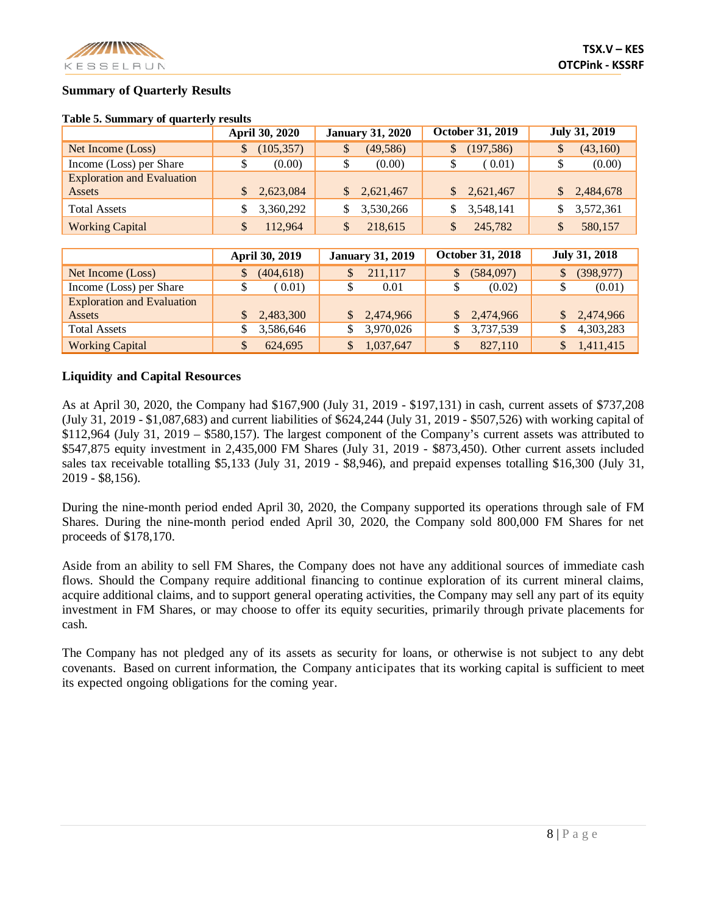

## **Summary of Quarterly Results**

|                                   | April 30, 2020   | <b>January 31, 2020</b>     | <b>October 31, 2019</b>   | <b>July 31, 2019</b> |
|-----------------------------------|------------------|-----------------------------|---------------------------|----------------------|
| Net Income (Loss)                 | (105, 357)<br>\$ | (49, 586)<br>\$             | (197, 586)<br>\$          | (43,160)<br>\$       |
| Income (Loss) per Share           | (0.00)           | (0.00)                      | (0.01)                    | (0.00)               |
| <b>Exploration and Evaluation</b> |                  |                             |                           |                      |
| Assets                            | 2,623,084        | 2,621,467<br>$\mathbb{S}^-$ | 2,621,467<br>$\mathbb{S}$ | 2,484,678            |
| <b>Total Assets</b>               | 3,360,292        | 3,530,266                   | 3,548,141                 | 3,572,361            |
| <b>Working Capital</b>            | 112.964<br>S     | 218,615<br>\$               | 245,782                   | 580,157<br>\$        |
|                                   |                  |                             |                           |                      |
|                                   | April 30, 2019   | <b>January 31, 2019</b>     | <b>October 31, 2018</b>   | July 31, 2018        |

#### **Table 5. Summary of quarterly results**

|                                   | April 30, 2019 | <b>January 31, 2019</b>   | <b>October 31, 2018</b> | <b>July 31, 2018</b> |
|-----------------------------------|----------------|---------------------------|-------------------------|----------------------|
| Net Income (Loss)                 | (404, 618)     | 211,117                   | (584,097)               | (398, 977)           |
| Income (Loss) per Share           | 0.01)          | 0.01                      | (0.02)                  | (0.01)               |
| <b>Exploration and Evaluation</b> |                |                           |                         |                      |
| Assets                            | 2,483,300      | 2,474,966<br>$\mathbb{S}$ | 2,474,966               | 2,474,966            |
| <b>Total Assets</b>               | 3,586,646      | 3,970,026                 | 3,737,539               | 4,303,283            |
| <b>Working Capital</b>            | 624.695        | 1,037,647                 | 827,110                 | 1,411,415            |

## **Liquidity and Capital Resources**

As at April 30, 2020, the Company had \$167,900 (July 31, 2019 - \$197,131) in cash, current assets of \$737,208 (July 31, 2019 - \$1,087,683) and current liabilities of \$624,244 (July 31, 2019 - \$507,526) with working capital of \$112,964 (July 31, 2019 – \$580,157). The largest component of the Company's current assets was attributed to \$547,875 equity investment in 2,435,000 FM Shares (July 31, 2019 - \$873,450). Other current assets included sales tax receivable totalling \$5,133 (July 31, 2019 - \$8,946), and prepaid expenses totalling \$16,300 (July 31, 2019 - \$8,156).

During the nine-month period ended April 30, 2020, the Company supported its operations through sale of FM Shares. During the nine-month period ended April 30, 2020, the Company sold 800,000 FM Shares for net proceeds of \$178,170.

Aside from an ability to sell FM Shares, the Company does not have any additional sources of immediate cash flows. Should the Company require additional financing to continue exploration of its current mineral claims, acquire additional claims, and to support general operating activities, the Company may sell any part of its equity investment in FM Shares, or may choose to offer its equity securities, primarily through private placements for cash.

The Company has not pledged any of its assets as security for loans, or otherwise is not subject to any debt covenants. Based on current information, the Company anticipates that its working capital is sufficient to meet its expected ongoing obligations for the coming year.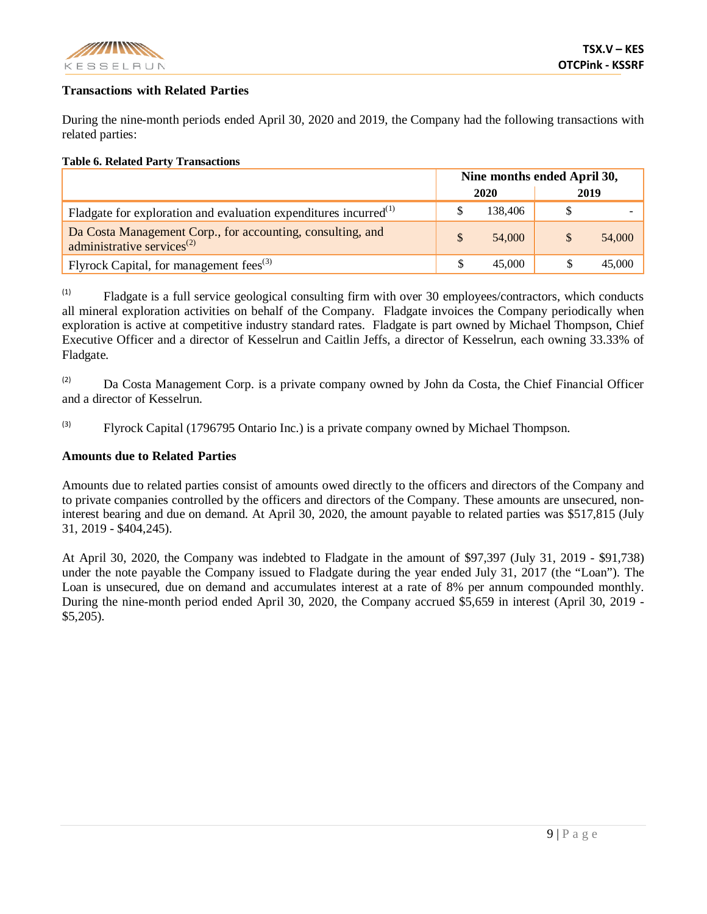

# **Transactions with Related Parties**

During the nine-month periods ended April 30, 2020 and 2019, the Company had the following transactions with related parties:

#### **Table 6. Related Party Transactions**

|                                                                                                      | Nine months ended April 30, |         |      |        |
|------------------------------------------------------------------------------------------------------|-----------------------------|---------|------|--------|
|                                                                                                      | 2020                        |         | 2019 |        |
| Fladgate for exploration and evaluation expenditures incurred $^{(1)}$                               |                             | 138,406 |      |        |
| Da Costa Management Corp., for accounting, consulting, and<br>administrative services <sup>(2)</sup> |                             | 54,000  |      | 54,000 |
| Flyrock Capital, for management fees $^{(3)}$                                                        |                             | 45,000  |      | 45,000 |

(1) Fladgate is a full service geological consulting firm with over 30 employees/contractors, which conducts all mineral exploration activities on behalf of the Company. Fladgate invoices the Company periodically when exploration is active at competitive industry standard rates. Fladgate is part owned by Michael Thompson, Chief Executive Officer and a director of Kesselrun and Caitlin Jeffs, a director of Kesselrun, each owning 33.33% of Fladgate.

 $\alpha$  Da Costa Management Corp. is a private company owned by John da Costa, the Chief Financial Officer and a director of Kesselrun.

(3) Flyrock Capital (1796795 Ontario Inc.) is a private company owned by Michael Thompson.

#### **Amounts due to Related Parties**

Amounts due to related parties consist of amounts owed directly to the officers and directors of the Company and to private companies controlled by the officers and directors of the Company. These amounts are unsecured, noninterest bearing and due on demand. At April 30, 2020, the amount payable to related parties was \$517,815 (July 31, 2019 - \$404,245).

At April 30, 2020, the Company was indebted to Fladgate in the amount of \$97,397 (July 31, 2019 - \$91,738) under the note payable the Company issued to Fladgate during the year ended July 31, 2017 (the "Loan"). The Loan is unsecured, due on demand and accumulates interest at a rate of 8% per annum compounded monthly. During the nine-month period ended April 30, 2020, the Company accrued \$5,659 in interest (April 30, 2019 - \$5,205).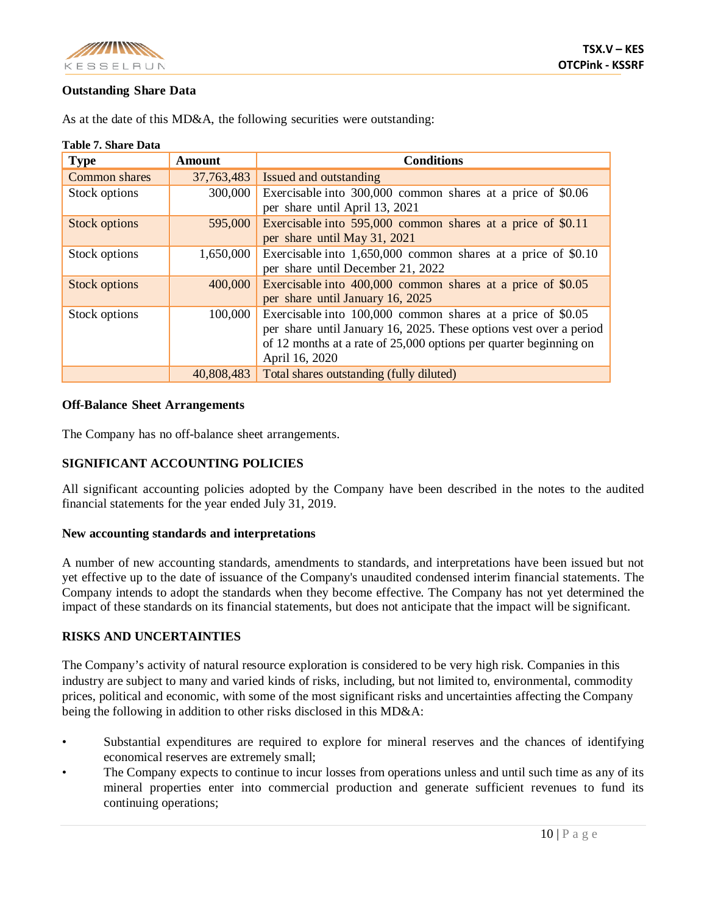

# **Outstanding Share Data**

| <b>Table 7. Share Data</b> |               |                                                                    |
|----------------------------|---------------|--------------------------------------------------------------------|
| <b>Type</b>                | <b>Amount</b> | <b>Conditions</b>                                                  |
| <b>Common shares</b>       | 37,763,483    | Issued and outstanding                                             |
| Stock options              | 300,000       | Exercisable into 300,000 common shares at a price of \$0.06        |
|                            |               | per share until April 13, 2021                                     |
| <b>Stock options</b>       | 595,000       | Exercisable into 595,000 common shares at a price of \$0.11        |
|                            |               | per share until May 31, 2021                                       |
| Stock options              | 1,650,000     | Exercisable into $1,650,000$ common shares at a price of \$0.10    |
|                            |               | per share until December 21, 2022                                  |
| <b>Stock options</b>       | 400,000       | Exercisable into 400,000 common shares at a price of \$0.05        |
|                            |               | per share until January 16, 2025                                   |
| Stock options              | 100,000       | Exercisable into 100,000 common shares at a price of \$0.05        |
|                            |               | per share until January 16, 2025. These options vest over a period |
|                            |               | of 12 months at a rate of 25,000 options per quarter beginning on  |
|                            |               | April 16, 2020                                                     |
|                            | 40,808,483    | Total shares outstanding (fully diluted)                           |

As at the date of this MD&A, the following securities were outstanding:

# **Off-Balance Sheet Arrangements**

The Company has no off-balance sheet arrangements.

# **SIGNIFICANT ACCOUNTING POLICIES**

All significant accounting policies adopted by the Company have been described in the notes to the audited financial statements for the year ended July 31, 2019.

# **New accounting standards and interpretations**

A number of new accounting standards, amendments to standards, and interpretations have been issued but not yet effective up to the date of issuance of the Company's unaudited condensed interim financial statements. The Company intends to adopt the standards when they become effective. The Company has not yet determined the impact of these standards on its financial statements, but does not anticipate that the impact will be significant.

# **RISKS AND UNCERTAINTIES**

The Company's activity of natural resource exploration is considered to be very high risk. Companies in this industry are subject to many and varied kinds of risks, including, but not limited to, environmental, commodity prices, political and economic, with some of the most significant risks and uncertainties affecting the Company being the following in addition to other risks disclosed in this MD&A:

- Substantial expenditures are required to explore for mineral reserves and the chances of identifying economical reserves are extremely small;
- The Company expects to continue to incur losses from operations unless and until such time as any of its mineral properties enter into commercial production and generate sufficient revenues to fund its continuing operations;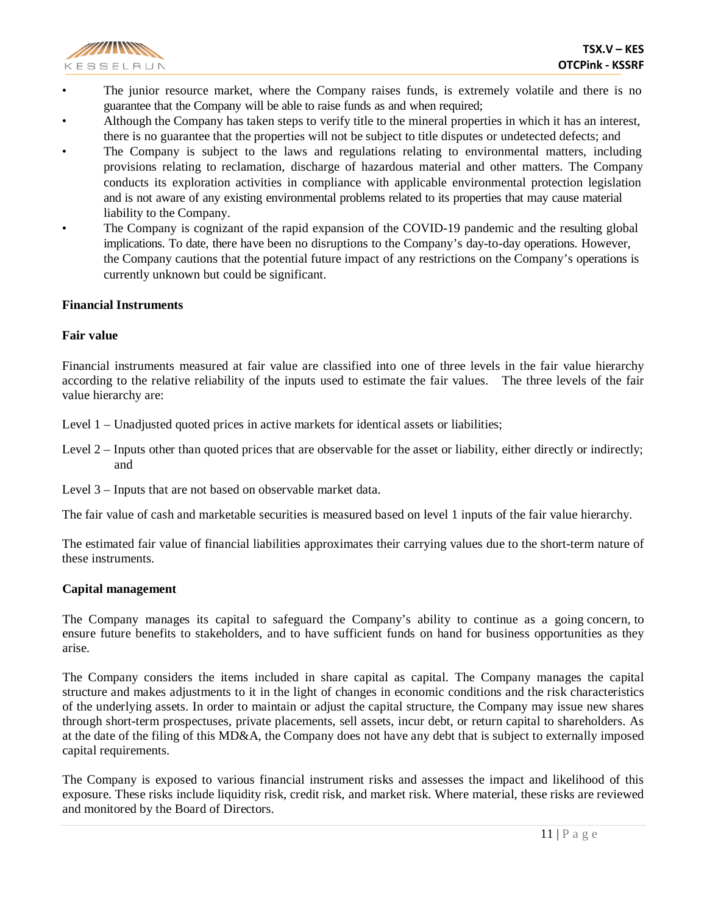

- The junior resource market, where the Company raises funds, is extremely volatile and there is no guarantee that the Company will be able to raise funds as and when required;
- Although the Company has taken steps to verify title to the mineral properties in which it has an interest, there is no guarantee that the properties will not be subject to title disputes or undetected defects; and
- The Company is subject to the laws and regulations relating to environmental matters, including provisions relating to reclamation, discharge of hazardous material and other matters. The Company conducts its exploration activities in compliance with applicable environmental protection legislation and is not aware of any existing environmental problems related to its properties that may cause material liability to the Company.
- The Company is cognizant of the rapid expansion of the COVID-19 pandemic and the resulting global implications. To date, there have been no disruptions to the Company's day-to-day operations. However, the Company cautions that the potential future impact of any restrictions on the Company's operations is currently unknown but could be significant.

#### **Financial Instruments**

#### **Fair value**

Financial instruments measured at fair value are classified into one of three levels in the fair value hierarchy according to the relative reliability of the inputs used to estimate the fair values. The three levels of the fair value hierarchy are:

- Level 1 Unadjusted quoted prices in active markets for identical assets or liabilities;
- Level 2 Inputs other than quoted prices that are observable for the asset or liability, either directly or indirectly; and
- Level 3 Inputs that are not based on observable market data.

The fair value of cash and marketable securities is measured based on level 1 inputs of the fair value hierarchy.

The estimated fair value of financial liabilities approximates their carrying values due to the short-term nature of these instruments.

#### **Capital management**

The Company manages its capital to safeguard the Company's ability to continue as a going concern, to ensure future benefits to stakeholders, and to have sufficient funds on hand for business opportunities as they arise.

The Company considers the items included in share capital as capital. The Company manages the capital structure and makes adjustments to it in the light of changes in economic conditions and the risk characteristics of the underlying assets. In order to maintain or adjust the capital structure, the Company may issue new shares through short-term prospectuses, private placements, sell assets, incur debt, or return capital to shareholders. As at the date of the filing of this MD&A, the Company does not have any debt that is subject to externally imposed capital requirements.

The Company is exposed to various financial instrument risks and assesses the impact and likelihood of this exposure. These risks include liquidity risk, credit risk, and market risk. Where material, these risks are reviewed and monitored by the Board of Directors.